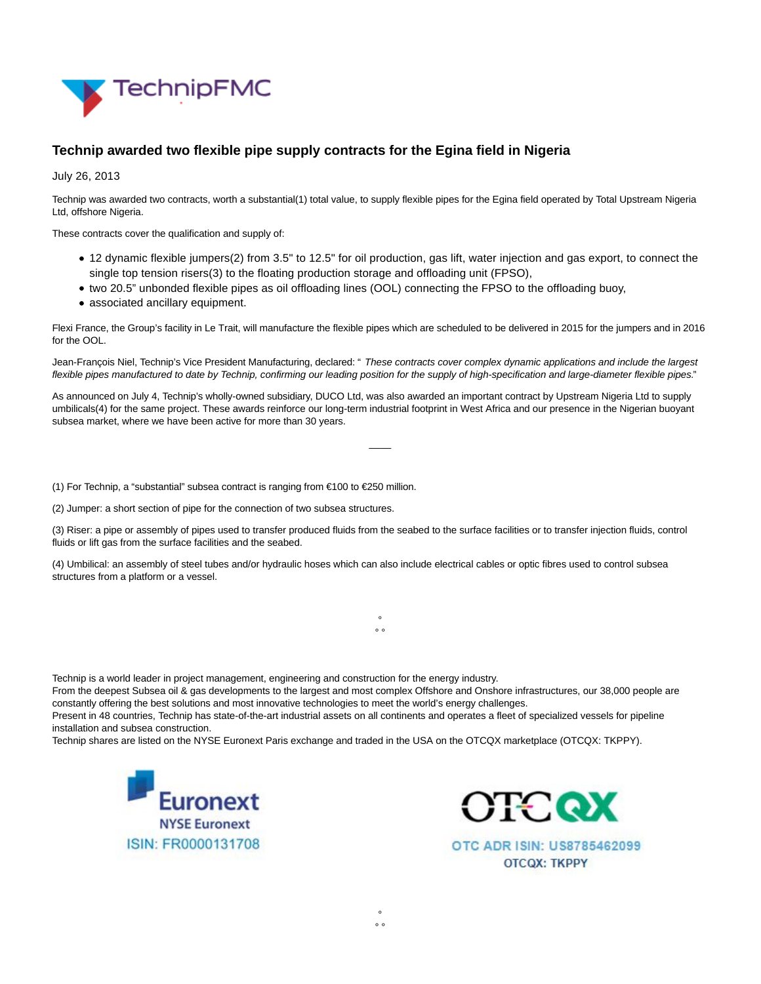

## **Technip awarded two flexible pipe supply contracts for the Egina field in Nigeria**

July 26, 2013

Technip was awarded two contracts, worth a substantial(1) total value, to supply flexible pipes for the Egina field operated by Total Upstream Nigeria Ltd, offshore Nigeria.

These contracts cover the qualification and supply of:

- 12 dynamic flexible jumpers(2) from 3.5" to 12.5" for oil production, gas lift, water injection and gas export, to connect the single top tension risers(3) to the floating production storage and offloading unit (FPSO),
- two 20.5" unbonded flexible pipes as oil offloading lines (OOL) connecting the FPSO to the offloading buoy,
- associated ancillary equipment.

Flexi France, the Group's facility in Le Trait, will manufacture the flexible pipes which are scheduled to be delivered in 2015 for the jumpers and in 2016 for the OOL.

Jean-François Niel, Technip's Vice President Manufacturing, declared: " These contracts cover complex dynamic applications and include the largest flexible pipes manufactured to date by Technip, confirming our leading position for the supply of high-specification and large-diameter flexible pipes."

As announced on July 4, Technip's wholly-owned subsidiary, DUCO Ltd, was also awarded an important contract by Upstream Nigeria Ltd to supply umbilicals(4) for the same project. These awards reinforce our long-term industrial footprint in West Africa and our presence in the Nigerian buoyant subsea market, where we have been active for more than 30 years.

 $\overline{\phantom{a}}$ 

(1) For Technip, a "substantial" subsea contract is ranging from €100 to €250 million.

(2) Jumper: a short section of pipe for the connection of two subsea structures.

(3) Riser: a pipe or assembly of pipes used to transfer produced fluids from the seabed to the surface facilities or to transfer injection fluids, control fluids or lift gas from the surface facilities and the seabed.

> °  $\circ$

(4) Umbilical: an assembly of steel tubes and/or hydraulic hoses which can also include electrical cables or optic fibres used to control subsea structures from a platform or a vessel.

Technip is a world leader in project management, engineering and construction for the energy industry.

From the deepest Subsea oil & gas developments to the largest and most complex Offshore and Onshore infrastructures, our 38,000 people are constantly offering the best solutions and most innovative technologies to meet the world's energy challenges.

> °  $\circ$

Present in 48 countries, Technip has state-of-the-art industrial assets on all continents and operates a fleet of specialized vessels for pipeline installation and subsea construction.

Technip shares are listed on the NYSE Euronext Paris exchange and traded in the USA on the OTCQX marketplace (OTCQX: TKPPY).





OTC ADR ISIN: US8785462099 **OTCOX: TKPPY**